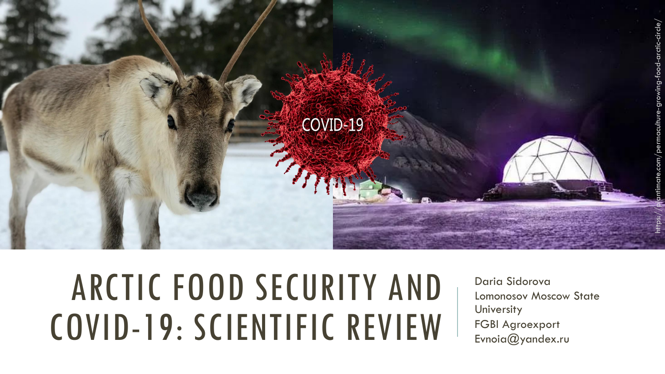

# ARCTIC FOOD SECURITY AND COVID-19: SCIENTIFIC REVIEW

Daria Sidorova Lomonosov Moscow State **University** FGBI Agroexport Evnoia@yandex.ru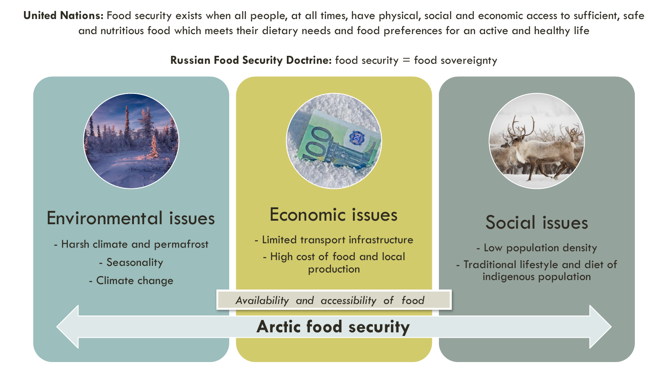United Nations: Food security exists when all people, at all times, have physical, social and economic access to sufficient, safe and nutritious food which meets their dietary needs and food preferences for an active and healthy life

**Russian Food Security Doctrine:** food security = food sovereignty



### Environmental issues

- Harsh climate and permafrost
	- Seasonality
	- Climate change



### Economic issues

- Limited transport infrastructure
	- High cost of food and local production

*Availability and accessibility of food* 

### **Arctic food security**



### Social issues

- Low population density - Traditional lifestyle and diet of indigenous population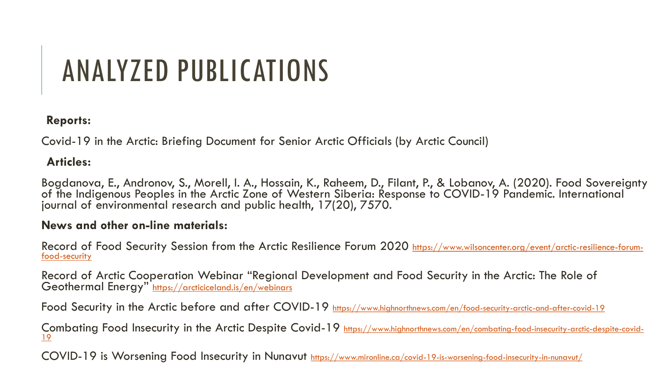## ANALYZED PUBLICATIONS

#### **Reports:**

Covid-19 in the Arctic: Briefing Document for Senior Arctic Officials (by Arctic Council)

#### **Articles:**

Bogdanova, E., Andronov, S., Morell, I. A., Hossain, K., Raheem, D., Filant, P., & Lobanov, A. (2020). Food Sovereignty of the Indigenous Peoples in the Arctic Zone of Western Siberia: Response to COVID-19 Pandemic. International` journal of environmental research and public health, 17(20), 7570.

#### **News and other on-line materials:**

[Record of Food Security Session from the Arctic Resilience Forum 2020](https://www.wilsoncenter.org/event/arctic-resilience-forum-food-security) https://www.wilsoncenter.org/event/arctic-resilience-forumfood-security

Record of Arctic Cooperation Webinar "Regional Development and Food Security in the Arctic: The Role of Geothermal Energy" <https://arcticiceland.is/en/webinars>

Food Security in the Arctic before and after COVID-19 <https://www.highnorthnews.com/en/food-security-arctic-and-after-covid-19>

[Combating Food Insecurity in the Arctic Despite Covid-19](https://www.highnorthnews.com/en/combating-food-insecurity-arctic-despite-covid-19) https://www.highnorthnews.com/en/combating-food-insecurity-arctic-despite-covid-19

COVID-19 is Worsening Food Insecurity in Nunavut <https://www.mironline.ca/covid-19-is-worsening-food-insecurity-in-nunavut/>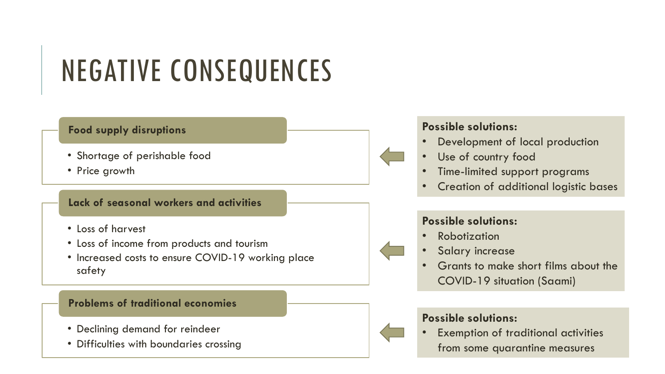## NEGATIVE CONSEQUENCES

#### **Food supply disruptions**

- Shortage of perishable food
- Price growth

#### **Lack of seasonal workers and activities**

- Loss of harvest
- Loss of income from products and tourism
- Increased costs to ensure COVID-19 working place safety

#### **Problems of traditional economies**

- Declining demand for reindeer
- Difficulties with boundaries crossing

#### **Possible solutions:**

- Development of local production
- Use of country food
- Time-limited support programs
- Creation of additional logistic bases

#### **Possible solutions:**

- **Robotization**
- Salary increase
- Grants to make short films about the COVID-19 situation (Saami)

#### **Possible solutions:**

Exemption of traditional activities from some quarantine measures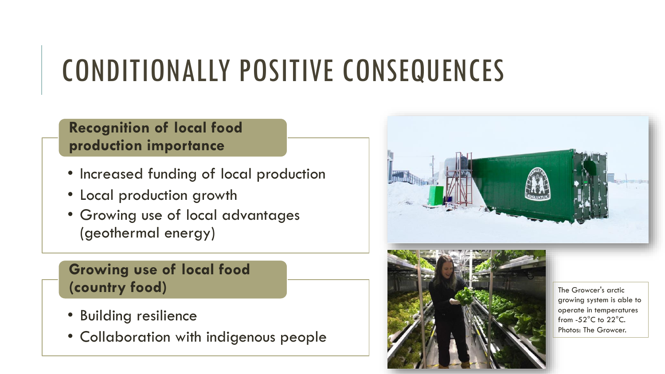## CONDITIONALLY POSITIVE CONSEQUENCES

### **Recognition of local food production importance**

- Increased funding of local production
- Local production growth
- Growing use of local advantages (geothermal energy)

## **Growing use of local food**

- Building resilience
- Collaboration with indigenous people